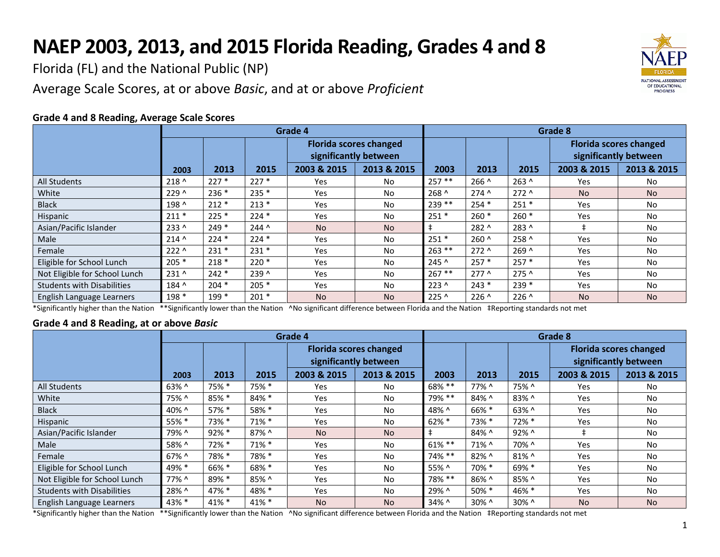## **NAEP 2003, 2013, and 2015 Florida Reading, Grades 4 and 8**

Florida (FL) and the National Public (NP)

Average Scale Scores, at or above *Basic*, and at or above *Proficient*



## **Grade 4 and 8 Reading, Average Scale Scores**

|                                   | Grade 4        |         |         |                                                        |             |               | Grade 8       |               |                                                        |             |  |  |
|-----------------------------------|----------------|---------|---------|--------------------------------------------------------|-------------|---------------|---------------|---------------|--------------------------------------------------------|-------------|--|--|
|                                   |                |         |         | <b>Florida scores changed</b><br>significantly between |             |               |               |               | <b>Florida scores changed</b><br>significantly between |             |  |  |
|                                   | 2003           | 2013    | 2015    | 2003 & 2015                                            | 2013 & 2015 | 2003          | 2013          | 2015          | 2003 & 2015                                            | 2013 & 2015 |  |  |
| <b>All Students</b>               | $218^{\wedge}$ | $227*$  | $227*$  | <b>Yes</b>                                             | No.         | $257**$       | $266^$        | $263^$        | Yes                                                    | No.         |  |  |
| White                             | 229 ^          | $236*$  | $235*$  | <b>Yes</b>                                             | No.         | $268^$        | $274^$        | $272^$        | N <sub>o</sub>                                         | <b>No</b>   |  |  |
| <b>Black</b>                      | 198 ^          | $212*$  | $213*$  | Yes                                                    | No.         | $239**$       | $254*$        | $251*$        | Yes                                                    | No          |  |  |
| Hispanic                          | $211*$         | $225*$  | $224*$  | Yes                                                    | No.         | $251*$        | $260*$        | $260*$        | Yes                                                    | No          |  |  |
| Asian/Pacific Islander            | 233 ^          | $249*$  | $244^$  | <b>No</b>                                              | <b>No</b>   | $\ddagger$    | 282 ^         | 283 ^         | $\pm$                                                  | No          |  |  |
| Male                              | $214^{\circ}$  | $224*$  | $224*$  | <b>Yes</b>                                             | No.         | $251*$        | $260^$        | 258 ^         | Yes                                                    | No          |  |  |
| Female                            | $222^{\wedge}$ | $231*$  | $231*$  | Yes                                                    | <b>No</b>   | $263$ **      | $272^$        | $269^$        | Yes                                                    | <b>No</b>   |  |  |
| Eligible for School Lunch         | $205*$         | $218*$  | $220*$  | Yes                                                    | <b>No</b>   | $245^{\circ}$ | $257*$        | $257*$        | Yes                                                    | <b>No</b>   |  |  |
| Not Eligible for School Lunch     | $231^{\circ}$  | $242*$  | 239 ^   | Yes                                                    | No.         | $267**$       | $277^$        | $275^$        | Yes                                                    | No          |  |  |
| <b>Students with Disabilities</b> | 184 ^          | $204 *$ | $205*$  | Yes                                                    | No.         | $223^{\circ}$ | $243*$        | $239*$        | Yes                                                    | No          |  |  |
| English Language Learners         | 198 *          | $199*$  | $201 *$ | <b>No</b>                                              | <b>No</b>   | 225 ^         | $226^{\circ}$ | $226^{\circ}$ | <b>No</b>                                              | <b>No</b>   |  |  |

\*Significantly higher than the Nation \*\*Significantly lower than the Nation ^No significant difference between Florida and the Nation ‡Reporting standards not met

## **Grade 4 and 8 Reading, at or above** *Basic*

|                                   | Grade 4  |       |          |                                                        |             |           | Grade 8 |       |                                                        |             |  |  |
|-----------------------------------|----------|-------|----------|--------------------------------------------------------|-------------|-----------|---------|-------|--------------------------------------------------------|-------------|--|--|
|                                   |          |       |          | <b>Florida scores changed</b><br>significantly between |             |           |         |       | <b>Florida scores changed</b><br>significantly between |             |  |  |
|                                   | 2003     | 2013  | 2015     | 2003 & 2015                                            | 2013 & 2015 | 2003      | 2013    | 2015  | 2003 & 2015                                            | 2013 & 2015 |  |  |
| <b>All Students</b>               | $63\%$ ^ | 75% * | 75% *    | Yes                                                    | No.         | 68% **    | 77% ^   | 75% ^ | Yes                                                    | No          |  |  |
| White                             | 75% ^    | 85% * | 84% *    | Yes                                                    | No.         | 79% **    | 84% ^   | 83% ^ | Yes                                                    | No          |  |  |
| <b>Black</b>                      | 40% ^    | 57% * | 58% *    | Yes                                                    | <b>No</b>   | 48% ^     | 66% *   | 63% ^ | <b>Yes</b>                                             | No.         |  |  |
| Hispanic                          | 55% *    | 73% * | 71% *    | Yes                                                    | <b>No</b>   | $62\% *$  | 73% *   | 72% * | Yes                                                    | No.         |  |  |
| Asian/Pacific Islander            | 79% ^    | 92% * | 87% ^    | <b>No</b>                                              | <b>No</b>   |           | 84% ^   | 92% ^ |                                                        | No          |  |  |
| Male                              | 58% ^    | 72% * | $71\%$ * | Yes                                                    | No.         | $61\%$ ** | 71% ^   | 70% ^ | Yes                                                    | No          |  |  |
| Female                            | 67% ^    | 78% * | 78% *    | Yes                                                    | No.         | 74% **    | 82% ^   | 81% ^ | Yes                                                    | No.         |  |  |
| Eligible for School Lunch         | 49% *    | 66% * | 68% *    | Yes                                                    | <b>No</b>   | 55% ^     | 70% *   | 69% * | Yes                                                    | No.         |  |  |
| Not Eligible for School Lunch     | 77% ^    | 89% * | 85% ^    | Yes                                                    | <b>No</b>   | 78% **    | 86% ^   | 85% ^ | Yes                                                    | No.         |  |  |
| <b>Students with Disabilities</b> | 28% ^    | 47% * | 48% *    | Yes                                                    | No.         | 29% ^     | 50% *   | 46% * | Yes                                                    | No          |  |  |
| English Language Learners         | 43% *    | 41% * | 41% *    | <b>No</b>                                              | <b>No</b>   | 34% ^     | 30% ^   | 30% ^ | <b>No</b>                                              | <b>No</b>   |  |  |

\*Significantly higher than the Nation \*\*Significantly lower than the Nation ^No significant difference between Florida and the Nation ‡Reporting standards not met